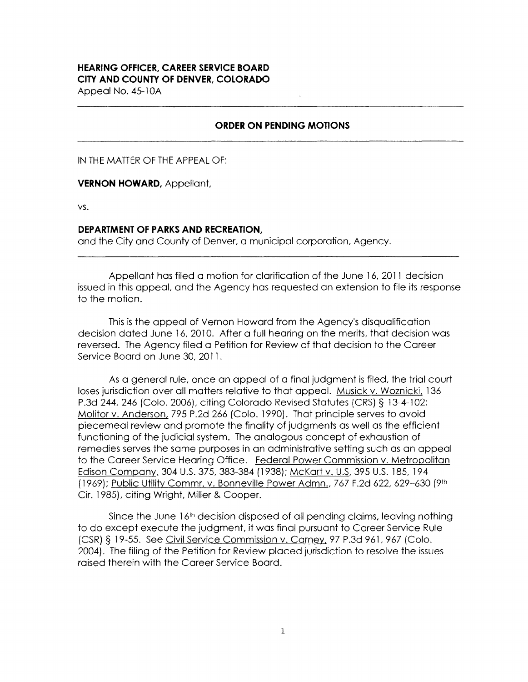## **HEARING OFFICER, CAREER SERVICE BOARD CITY AND COUNTY OF DENVER, COLORADO**

Appeal No. 45-10A

## **ORDER ON PENDING MOTIONS**

IN THE MATTER OF THE APPEAL OF:

**VERNON HOWARD,** Appellant,

**VS.** 

## **DEPARTMENT OF PARKS AND RECREATION,**

and the City and County of Denver, a municipal corporation, Agency.

Appellant has filed a motion for clarification of the June 16, 2011 decision issued in this appeal, and the Agency has requested an extension to file its response to the motion.

This is the appeal of Vernon Howard from the Agency's disqualification decision dated June 16, 2010. After a full hearing on the merits, that decision was reversed. The Agency filed a Petition for Review of that decision to the Career Service Board on June 30, 2011.

As a general rule, once an appeal of a final judgment is filed, the trial court loses jurisdiction over all matters relative to that appeal. Musick v. Woznicki, 136 P.3d 244, 246 (Colo. 2006), citing Colorado Revised Statutes (CRS) § 13-4-102; Molitorv. Anderson, 795 P.2d 266 (Colo. 1990). That principle serves to avoid piecemeal review and promote the finality of judgments as well as the efficient functioning of the judicial system. The analogous concept of exhaustion of remedies serves the same purposes in an administrative setting such as an appeal to the Career Service Hearing Office. Federal Power Commission v. Metropolitan Edison Company, 304 U.S. 375, 383-384 (1938); McKart v. U.S, 395 U.S. 185, 194 (1969); Public Utility Commr. v. Bonneville Power Admn., 767 F.2d 622, 629-630 (9th Cir. 1985), citing Wright, Miller & Cooper.

Since the June  $16<sup>th</sup>$  decision disposed of all pending claims, leaving nothing to do except execute the judgment, it was final pursuant to Career Service Rule (CSR) § 19-55. See Civil Service Commission v. Carney, 97 P.3d 961, 967 (Colo. 2004). The filing of the Petition for Review placed jurisdiction to resolve the issues raised therein with the Career Service Board.